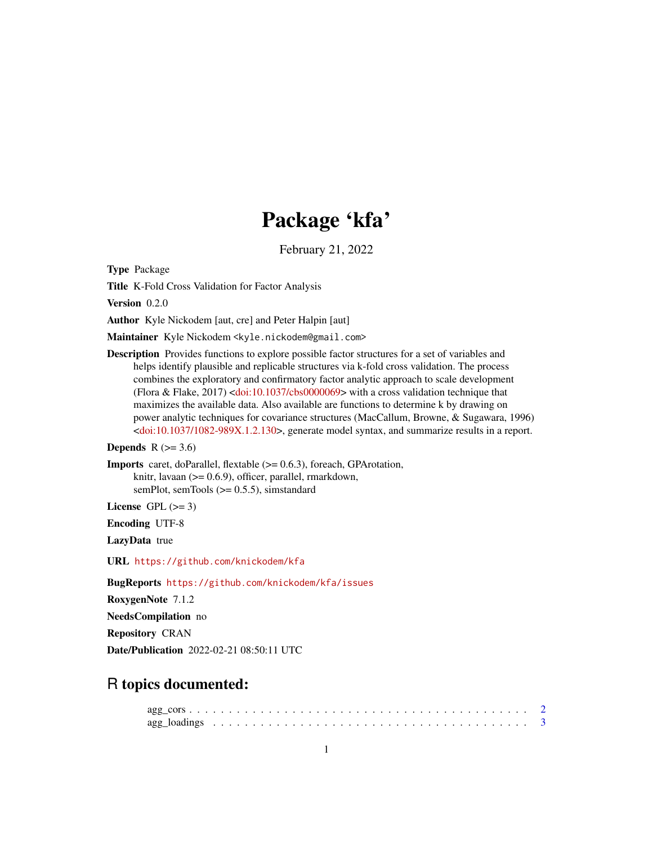## Package 'kfa'

February 21, 2022

<span id="page-0-0"></span>Type Package

Title K-Fold Cross Validation for Factor Analysis

Version 0.2.0

Author Kyle Nickodem [aut, cre] and Peter Halpin [aut]

Maintainer Kyle Nickodem <kyle.nickodem@gmail.com>

Description Provides functions to explore possible factor structures for a set of variables and helps identify plausible and replicable structures via k-fold cross validation. The process combines the exploratory and confirmatory factor analytic approach to scale development (Flora & Flake, 2017) [<doi:10.1037/cbs0000069>](https://doi.org/10.1037/cbs0000069) with a cross validation technique that maximizes the available data. Also available are functions to determine k by drawing on power analytic techniques for covariance structures (MacCallum, Browne, & Sugawara, 1996) [<doi:10.1037/1082-989X.1.2.130>](https://doi.org/10.1037/1082-989X.1.2.130), generate model syntax, and summarize results in a report.

#### **Depends**  $R$  ( $>= 3.6$ )

Imports caret, doParallel, flextable (>= 0.6.3), foreach, GPArotation, knitr, lavaan (>= 0.6.9), officer, parallel, rmarkdown, semPlot, semTools (>= 0.5.5), simstandard

License GPL  $(>= 3)$ 

Encoding UTF-8

LazyData true

URL <https://github.com/knickodem/kfa>

BugReports <https://github.com/knickodem/kfa/issues>

RoxygenNote 7.1.2

NeedsCompilation no

Repository CRAN

Date/Publication 2022-02-21 08:50:11 UTC

### R topics documented: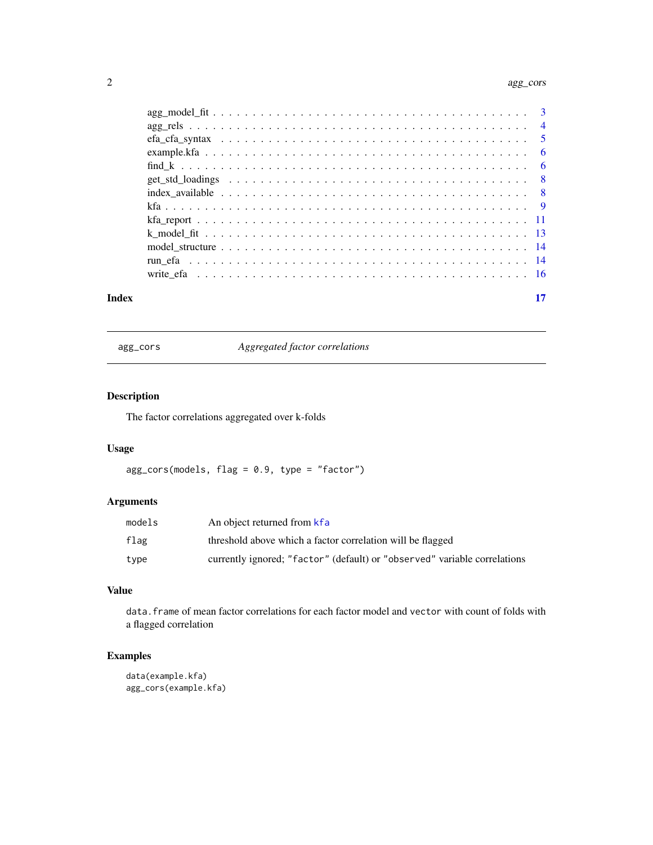#### <span id="page-1-0"></span>2 agg\_cors and  $\frac{2}{3}$  agg\_cors agg\_cors agg\_cors agg\_cors agg\_cors agg\_cors agg\_cors

| Index | 17 |
|-------|----|

agg\_cors *Aggregated factor correlations*

#### Description

The factor correlations aggregated over k-folds

#### Usage

agg\_cors(models, flag = 0.9, type = "factor")

#### Arguments

| models | An object returned from kfa                                               |
|--------|---------------------------------------------------------------------------|
| flag   | threshold above which a factor correlation will be flagged                |
| type   | currently ignored; "factor" (default) or "observed" variable correlations |

#### Value

data.frame of mean factor correlations for each factor model and vector with count of folds with a flagged correlation

```
data(example.kfa)
agg_cors(example.kfa)
```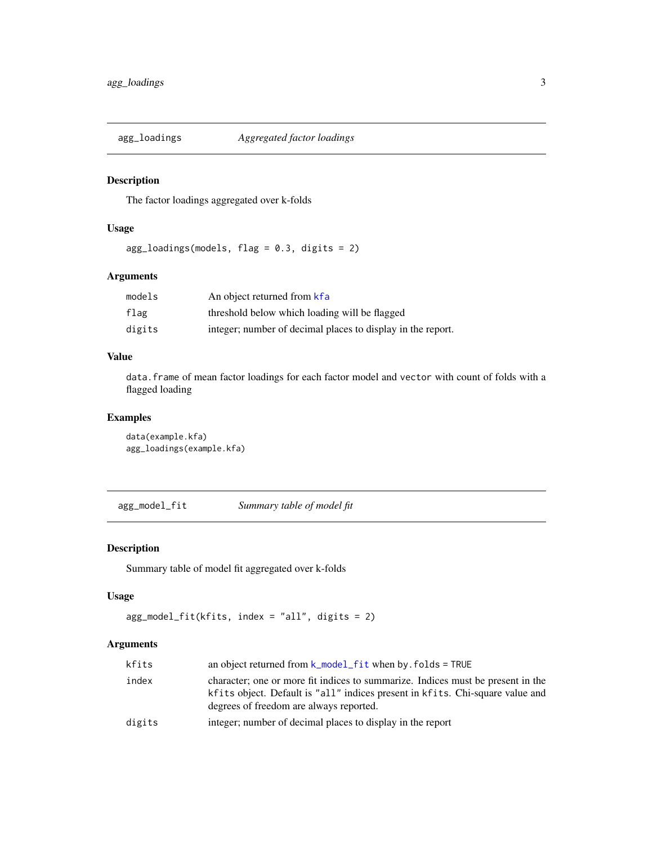<span id="page-2-0"></span>

The factor loadings aggregated over k-folds

#### Usage

agg\_loadings(models, flag = 0.3, digits = 2)

#### Arguments

| models | An object returned from kfa                                 |
|--------|-------------------------------------------------------------|
| flag   | threshold below which loading will be flagged               |
| digits | integer; number of decimal places to display in the report. |

#### Value

data.frame of mean factor loadings for each factor model and vector with count of folds with a flagged loading

#### Examples

```
data(example.kfa)
agg_loadings(example.kfa)
```
agg\_model\_fit *Summary table of model fit*

#### Description

Summary table of model fit aggregated over k-folds

#### Usage

```
agg_model_fit(kfits, index = "all", digits = 2)
```
#### Arguments

| kfits  | an object returned from $k$ model fit when by folds = TRUE                                                                                                                                                  |
|--------|-------------------------------------------------------------------------------------------------------------------------------------------------------------------------------------------------------------|
| index  | character; one or more fit indices to summarize. Indices must be present in the<br>kfits object. Default is "all" indices present in kfits. Chi-square value and<br>degrees of freedom are always reported. |
| digits | integer; number of decimal places to display in the report                                                                                                                                                  |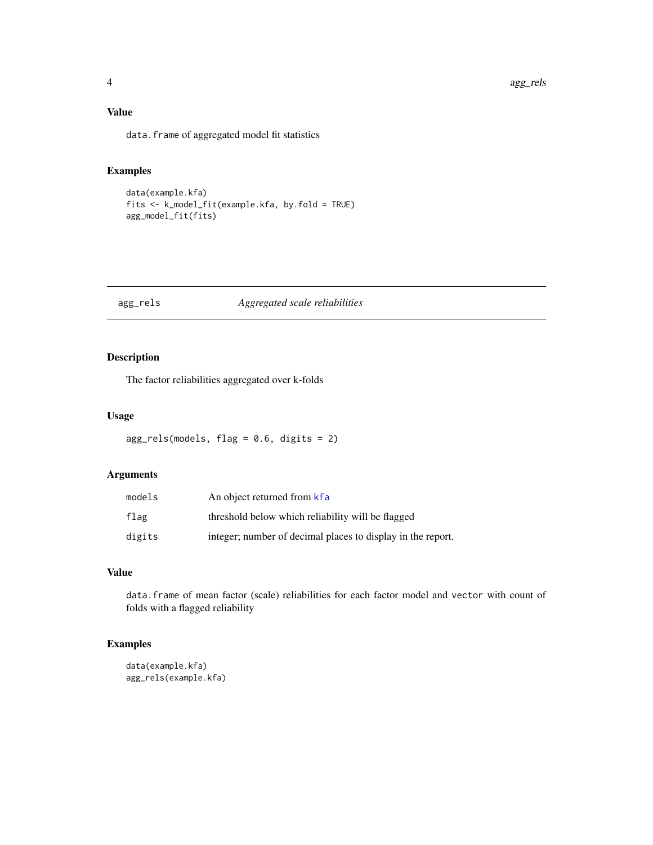#### <span id="page-3-0"></span>Value

data.frame of aggregated model fit statistics

#### Examples

```
data(example.kfa)
fits <- k_model_fit(example.kfa, by.fold = TRUE)
agg_model_fit(fits)
```

| Aggregated scale reliabilities<br>agg_rels |  |
|--------------------------------------------|--|
|                                            |  |
|                                            |  |

#### Description

The factor reliabilities aggregated over k-folds

#### Usage

```
agg_{rels(models, flag = 0.6, digits = 2)}
```
#### Arguments

| models | An object returned from kfa                                 |
|--------|-------------------------------------------------------------|
| flag   | threshold below which reliability will be flagged           |
| digits | integer; number of decimal places to display in the report. |

#### Value

data.frame of mean factor (scale) reliabilities for each factor model and vector with count of folds with a flagged reliability

```
data(example.kfa)
agg_rels(example.kfa)
```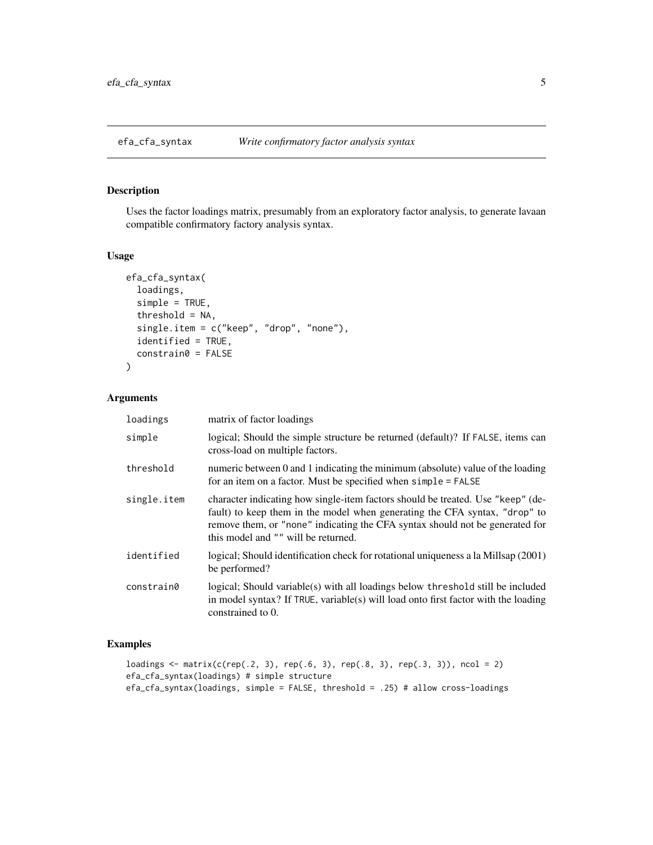<span id="page-4-0"></span>Uses the factor loadings matrix, presumably from an exploratory factor analysis, to generate lavaan compatible confirmatory factory analysis syntax.

#### Usage

```
efa_cfa_syntax(
  loadings,
  simple = TRUE,
  threshold = NA,
  single.item = c("keep", "drop", "none"),
  identified = TRUE,
  constrain0 = FALSE
)
```
#### Arguments

| loadings    | matrix of factor loadings                                                                                                                                                                                                                                                            |
|-------------|--------------------------------------------------------------------------------------------------------------------------------------------------------------------------------------------------------------------------------------------------------------------------------------|
| simple      | logical; Should the simple structure be returned (default)? If FALSE, items can<br>cross-load on multiple factors.                                                                                                                                                                   |
| threshold   | numeric between 0 and 1 indicating the minimum (absolute) value of the loading<br>for an item on a factor. Must be specified when simple = FALSE                                                                                                                                     |
| single.item | character indicating how single-item factors should be treated. Use "keep" (de-<br>fault) to keep them in the model when generating the CFA syntax, "drop" to<br>remove them, or "none" indicating the CFA syntax should not be generated for<br>this model and "" will be returned. |
| identified  | logical; Should identification check for rotational uniqueness a la Millsap (2001)<br>be performed?                                                                                                                                                                                  |
| constrain0  | logical; Should variable(s) with all loadings below threshold still be included<br>in model syntax? If TRUE, variable(s) will load onto first factor with the loading<br>constrained to 0.                                                                                           |

```
loadings <- matrix(c(rep(.2, 3), rep(.6, 3), rep(.8, 3), rep(.3, 3)), ncol = 2)
efa_cfa_syntax(loadings) # simple structure
efa_cfa_syntax(loadings, simple = FALSE, threshold = .25) # allow cross-loadings
```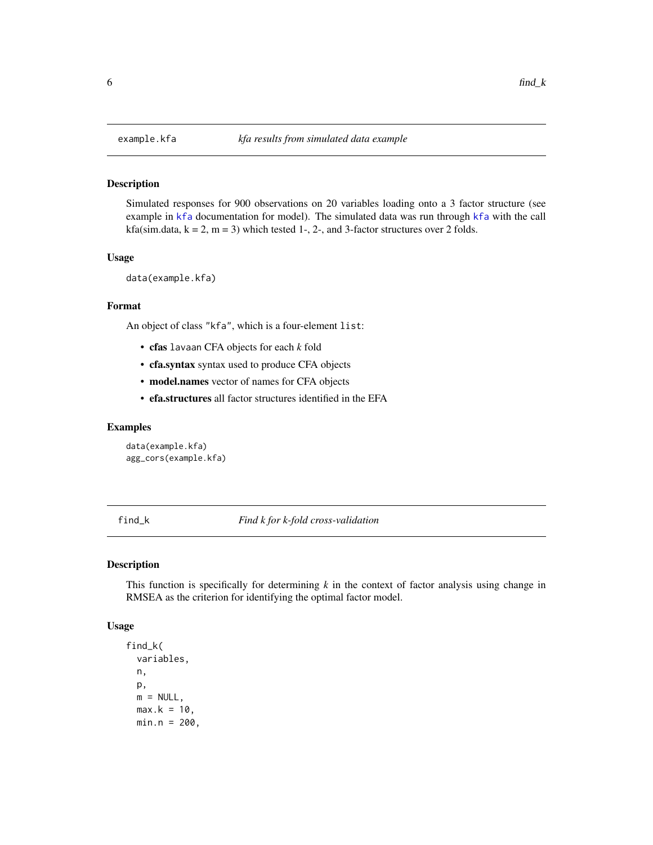Simulated responses for 900 observations on 20 variables loading onto a 3 factor structure (see example in [kfa](#page-8-1) documentation for model). The simulated data was run through [kfa](#page-8-1) with the call kfa(sim.data,  $k = 2$ ,  $m = 3$ ) which tested 1-, 2-, and 3-factor structures over 2 folds.

#### Usage

```
data(example.kfa)
```
#### Format

An object of class "kfa", which is a four-element list:

- cfas lavaan CFA objects for each *k* fold
- cfa.syntax syntax used to produce CFA objects
- model.names vector of names for CFA objects
- efa.structures all factor structures identified in the EFA

#### Examples

```
data(example.kfa)
agg_cors(example.kfa)
```
<span id="page-5-1"></span>find\_k *Find k for k-fold cross-validation*

#### Description

This function is specifically for determining *k* in the context of factor analysis using change in RMSEA as the criterion for identifying the optimal factor model.

#### Usage

```
find_k(
  variables,
 n,
 p,
 m = NULL,max.k = 10,
 min.n = 200,
```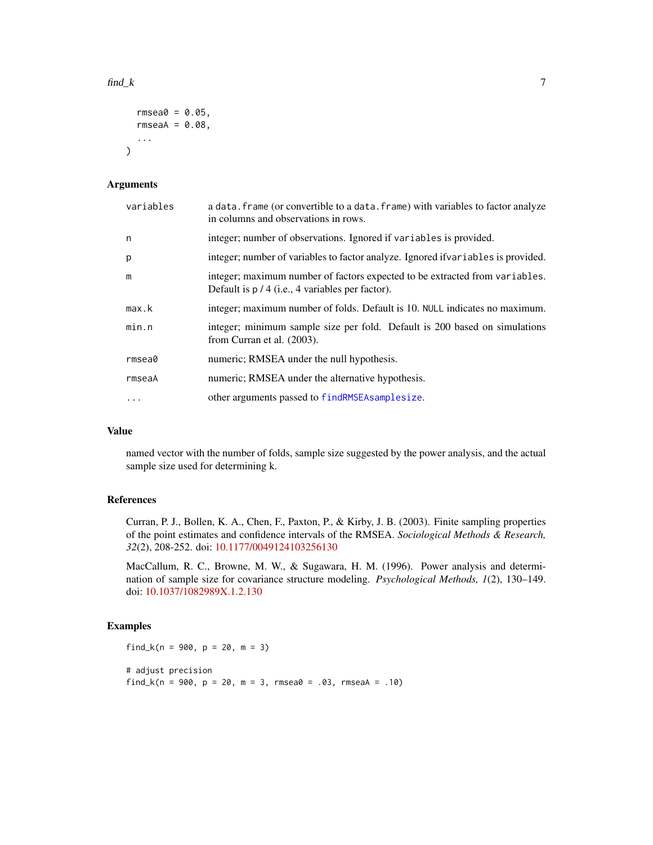#### <span id="page-6-0"></span> $\mathbf{find}\_k$  7

```
rmsea0 = 0.05,
  rmseaA = 0.08,
  ...
\mathcal{L}
```
#### Arguments

| variables | a data. frame (or convertible to a data. frame) with variables to factor analyze<br>in columns and observations in rows.          |
|-----------|-----------------------------------------------------------------------------------------------------------------------------------|
| n         | integer; number of observations. Ignored if variables is provided.                                                                |
| p         | integer; number of variables to factor analyze. Ignored if variables is provided.                                                 |
| m         | integer; maximum number of factors expected to be extracted from variables.<br>Default is $p / 4$ (i.e., 4 variables per factor). |
| max.k     | integer; maximum number of folds. Default is 10. NULL indicates no maximum.                                                       |
| min.n     | integer; minimum sample size per fold. Default is 200 based on simulations<br>from Curran et al. (2003).                          |
| rmsea0    | numeric; RMSEA under the null hypothesis.                                                                                         |
| rmseaA    | numeric; RMSEA under the alternative hypothesis.                                                                                  |
| $\ddots$  | other arguments passed to findRMSEAsamplesize.                                                                                    |

#### Value

named vector with the number of folds, sample size suggested by the power analysis, and the actual sample size used for determining k.

#### References

Curran, P. J., Bollen, K. A., Chen, F., Paxton, P., & Kirby, J. B. (2003). Finite sampling properties of the point estimates and confidence intervals of the RMSEA. *Sociological Methods & Research, 32*(2), 208-252. doi: [10.1177/0049124103256130](https://doi.org/10.1177/0049124103256130)

MacCallum, R. C., Browne, M. W., & Sugawara, H. M. (1996). Power analysis and determination of sample size for covariance structure modeling. *Psychological Methods, 1*(2), 130–149. doi: [10.1037/1082989X.1.2.130](https://doi.org/10.1037/1082-989X.1.2.130)

```
find_k(n = 900, p = 20, m = 3)
# adjust precision
find_k(n = 900, p = 20, m = 3, rmsea0 = .03, rmseaA = .10)
```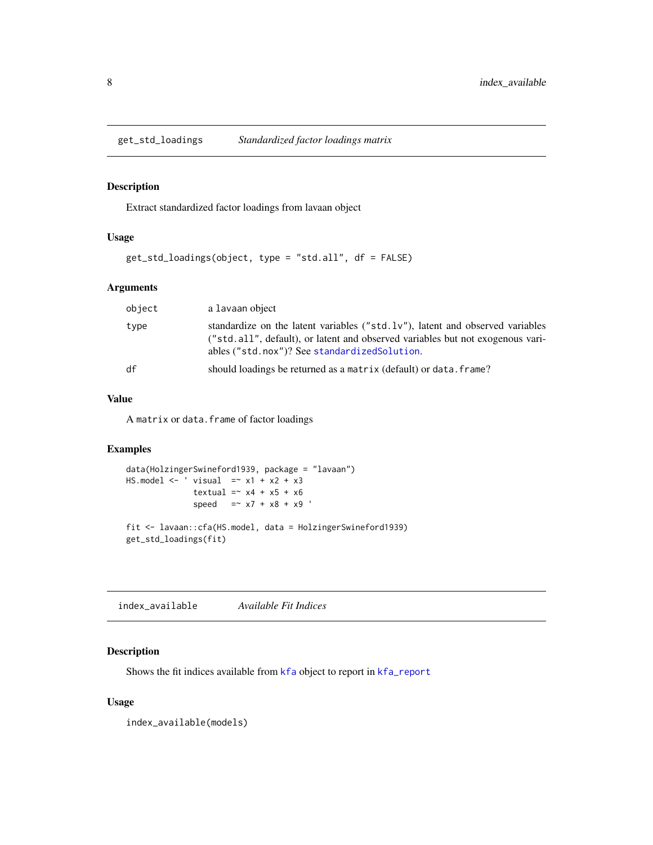<span id="page-7-0"></span>

Extract standardized factor loadings from lavaan object

#### Usage

```
get_std_loadings(object, type = "std.all", df = FALSE)
```
#### Arguments

| object | a lavaan object                                                                                                                                                                                                       |
|--------|-----------------------------------------------------------------------------------------------------------------------------------------------------------------------------------------------------------------------|
| type   | standardize on the latent variables (" $std. 1v$ "), latent and observed variables<br>("std.all", default), or latent and observed variables but not exogenous vari-<br>ables ("std.nox")? See standardized Solution. |
| df     | should loadings be returned as a matrix (default) or data. frame?                                                                                                                                                     |

#### Value

A matrix or data.frame of factor loadings

#### Examples

```
data(HolzingerSwineford1939, package = "lavaan")
HS.model <- ' visual =~x1 + x2 + x3textual = x4 + x5 + x6speed = x7 + x8 + x9fit <- lavaan::cfa(HS.model, data = HolzingerSwineford1939)
get_std_loadings(fit)
```
<span id="page-7-1"></span>index\_available *Available Fit Indices*

#### Description

Shows the fit indices available from [kfa](#page-8-1) object to report in [kfa\\_report](#page-10-1)

#### Usage

index\_available(models)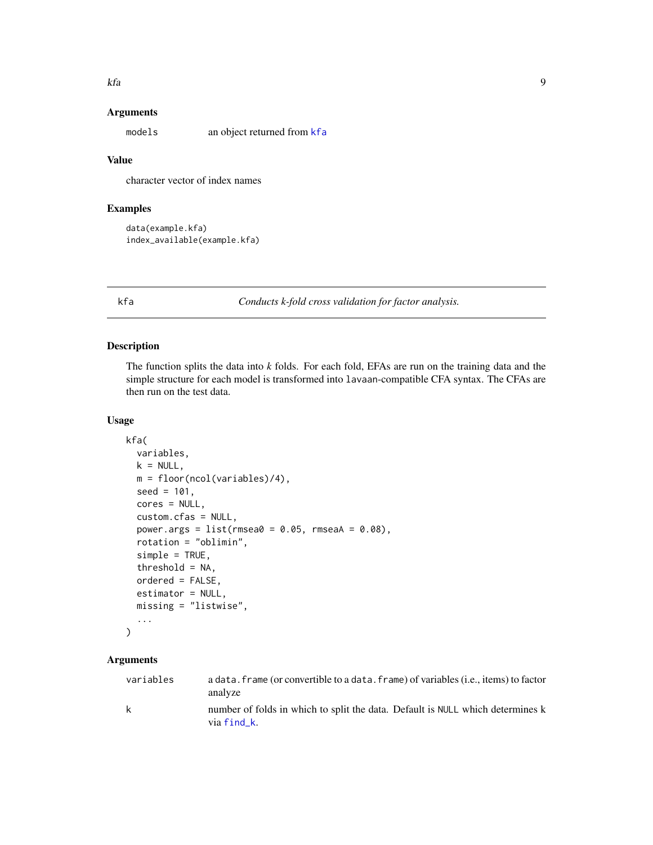#### <span id="page-8-0"></span>Arguments

models an object returned from [kfa](#page-8-1)

#### Value

character vector of index names

#### Examples

```
data(example.kfa)
index_available(example.kfa)
```
<span id="page-8-1"></span>kfa *Conducts k-fold cross validation for factor analysis.*

#### Description

The function splits the data into *k* folds. For each fold, EFAs are run on the training data and the simple structure for each model is transformed into lavaan-compatible CFA syntax. The CFAs are then run on the test data.

#### Usage

```
kfa(
  variables,
  k = NULL,m = floor(ncol(variables)/4),
  seed = 101,
  cores = NULL,
  custom.cfas = NULL,
  power.args = list(rmsea0 = 0.05, rmseaA = 0.08),
  rotation = "oblimin",
  simple = TRUE,
  threshold = NA,
  ordered = FALSE,
  estimator = NULL,
 missing = "listwise",
  ...
)
```
#### Arguments

| variables    | a data, frame (or convertible to a data, frame) of variables (i.e., items) to factor<br>analyze |
|--------------|-------------------------------------------------------------------------------------------------|
| $\mathbf{k}$ | number of folds in which to split the data. Default is NULL which determines k<br>via find k.   |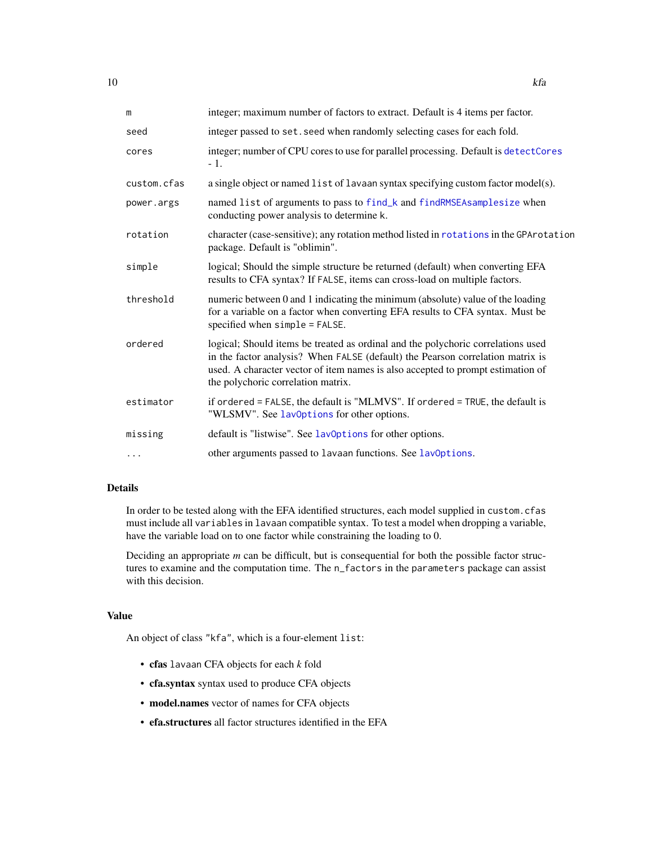<span id="page-9-0"></span>

| m           | integer; maximum number of factors to extract. Default is 4 items per factor.                                                                                                                                                                                                               |
|-------------|---------------------------------------------------------------------------------------------------------------------------------------------------------------------------------------------------------------------------------------------------------------------------------------------|
| seed        | integer passed to set. seed when randomly selecting cases for each fold.                                                                                                                                                                                                                    |
| cores       | integer; number of CPU cores to use for parallel processing. Default is detectCores<br>$-1.$                                                                                                                                                                                                |
| custom.cfas | a single object or named list of lavaan syntax specifying custom factor model(s).                                                                                                                                                                                                           |
| power.args  | named list of arguments to pass to find_k and findRMSEAsamplesize when<br>conducting power analysis to determine k.                                                                                                                                                                         |
| rotation    | character (case-sensitive); any rotation method listed in rotations in the GPArotation<br>package. Default is "oblimin".                                                                                                                                                                    |
| simple      | logical; Should the simple structure be returned (default) when converting EFA<br>results to CFA syntax? If FALSE, items can cross-load on multiple factors.                                                                                                                                |
| threshold   | numeric between 0 and 1 indicating the minimum (absolute) value of the loading<br>for a variable on a factor when converting EFA results to CFA syntax. Must be<br>specified when simple = FALSE.                                                                                           |
| ordered     | logical; Should items be treated as ordinal and the polychoric correlations used<br>in the factor analysis? When FALSE (default) the Pearson correlation matrix is<br>used. A character vector of item names is also accepted to prompt estimation of<br>the polychoric correlation matrix. |
| estimator   | if ordered = FALSE, the default is "MLMVS". If ordered = TRUE, the default is<br>"WLSMV". See lav0ptions for other options.                                                                                                                                                                 |
| missing     | default is "listwise". See lav0ptions for other options.                                                                                                                                                                                                                                    |
| $\cdots$    | other arguments passed to lavaan functions. See lavOptions.                                                                                                                                                                                                                                 |

#### Details

In order to be tested along with the EFA identified structures, each model supplied in custom.cfas must include all variables in lavaan compatible syntax. To test a model when dropping a variable, have the variable load on to one factor while constraining the loading to 0.

Deciding an appropriate *m* can be difficult, but is consequential for both the possible factor structures to examine and the computation time. The n\_factors in the parameters package can assist with this decision.

#### Value

An object of class "kfa", which is a four-element list:

- cfas lavaan CFA objects for each *k* fold
- cfa.syntax syntax used to produce CFA objects
- model.names vector of names for CFA objects
- efa.structures all factor structures identified in the EFA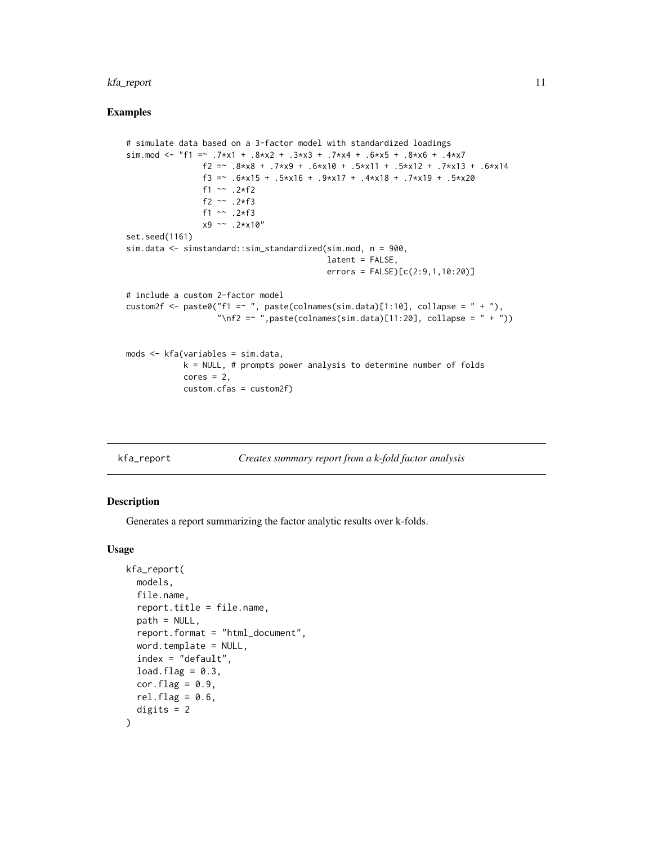#### <span id="page-10-0"></span>kfa\_report 11

#### Examples

```
# simulate data based on a 3-factor model with standardized loadings
sim.mod <- "f1 = 7 \times x1 + .8 x + .3 x 3 + .7 x + .6 x 5 + .8 x 6 + .4 x 7
                f2 = - .8*x8 + .7*x9 + .6*x10 + .5*x11 + .5*x12 + .7*x13 + .6*x14
                f3 =~ .6*x15 + .5*x16 + .9*x17 + .4*x18 + .7*x19 + .5*x20
                f1 ~~ .2*f2
                f2 ~~ .2*f3
                f1 ~~ .2*f3
                x9 ~~ .2*x10"
set.seed(1161)
sim.data <- simstandard::sim_standardized(sim.mod, n = 900,
                                           latent = FALSE,
                                           errors = FALSE) [c(2:9,1,10:20)]# include a custom 2-factor model
custom2f <- paste0("f1 = "", paste(colnames(sim.data)[1:10], collapse = " + "),
                   "\nf2 = \sim ", paste(colnames(sim.data)[11:20], collapse = " + "))
mods <- kfa(variables = sim.data,
            k = NULL, # prompts power analysis to determine number of folds
            cores = 2,custom.cfas = custom2f)
```
<span id="page-10-1"></span>

| kfa_report | Creates summary report from a k-fold factor analysis |  |  |
|------------|------------------------------------------------------|--|--|
|------------|------------------------------------------------------|--|--|

#### Description

Generates a report summarizing the factor analytic results over k-folds.

#### Usage

```
kfa_report(
  models,
  file.name,
  report.title = file.name,
  path = NULL,
  report.format = "html_document",
  word.template = NULL,
  index = "default",
  load.flag = 0.3,
  cor.flag = 0.9,
  rel.flag = 0.6,
  digits = 2)
```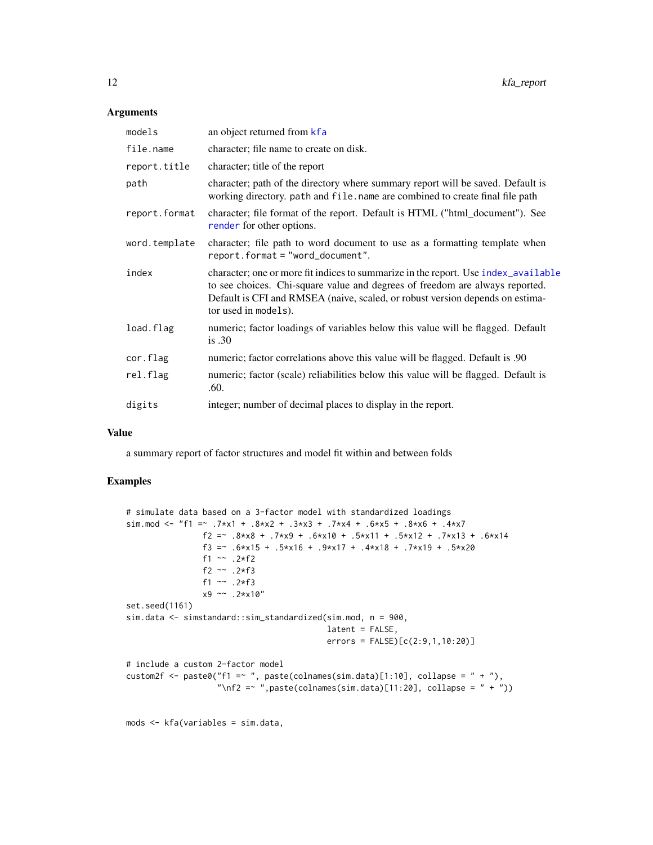#### <span id="page-11-0"></span>Arguments

| models        | an object returned from kfa                                                                                                                                                                                                                                                 |
|---------------|-----------------------------------------------------------------------------------------------------------------------------------------------------------------------------------------------------------------------------------------------------------------------------|
| file.name     | character; file name to create on disk.                                                                                                                                                                                                                                     |
| report.title  | character; title of the report                                                                                                                                                                                                                                              |
| path          | character; path of the directory where summary report will be saved. Default is<br>working directory. path and file. name are combined to create final file path                                                                                                            |
| report.format | character; file format of the report. Default is HTML ("html_document"). See<br>render for other options.                                                                                                                                                                   |
| word.template | character; file path to word document to use as a formatting template when<br>report.format = "word_document".                                                                                                                                                              |
| index         | character; one or more fit indices to summarize in the report. Use index_available<br>to see choices. Chi-square value and degrees of freedom are always reported.<br>Default is CFI and RMSEA (naive, scaled, or robust version depends on estima-<br>tor used in models). |
| load.flag     | numeric; factor loadings of variables below this value will be flagged. Default<br>is.30                                                                                                                                                                                    |
| cor.flag      | numeric; factor correlations above this value will be flagged. Default is .90                                                                                                                                                                                               |
| rel.flag      | numeric; factor (scale) reliabilities below this value will be flagged. Default is<br>.60.                                                                                                                                                                                  |
| digits        | integer; number of decimal places to display in the report.                                                                                                                                                                                                                 |
|               |                                                                                                                                                                                                                                                                             |

#### Value

a summary report of factor structures and model fit within and between folds

#### Examples

```
# simulate data based on a 3-factor model with standardized loadings
sim.mod <- "f1 =~ .7*x1 + .8*x2 + .3*x3 + .7*x4 + .6*x5 + .8*x6 + .4*x7
                f2 = - .8*x8 + .7*x9 + .6*x10 + .5*x11 + .5*x12 + .7*x13 + .6*x14
                f3 =~ .6*x15 + .5*x16 + .9*x17 + .4*x18 + .7*x19 + .5*x20
                f1 ~~ .2*f2
                f2 ~~ .2*f3
                f1 ~~ .2*f3
                x9 ~~ .2*x10"
set.seed(1161)
sim.data <- simstandard::sim_standardized(sim.mod, n = 900,
                                          latent = FALSE,
                                          errors = FALSE)[c(2:9,1,10:20)]
# include a custom 2-factor model
custom2f <- paste0("f1 =~ ", paste(colnames(sim.data)[1:10], collapse = " + "),
                   "\nf2 = \sim ", paste(colnames(sim.data)[11:20], collapse = " + "))
```
mods <- kfa(variables = sim.data,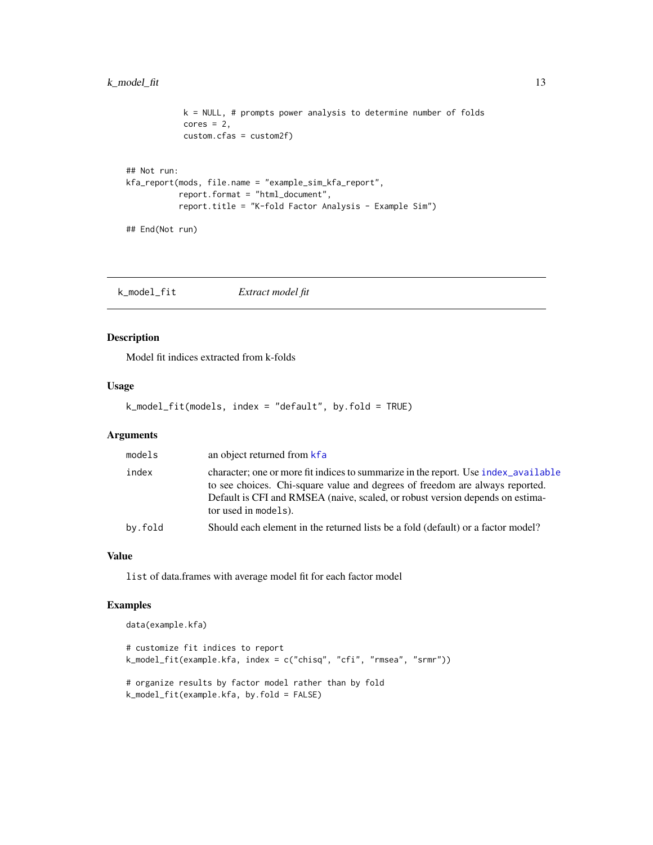#### <span id="page-12-0"></span>k\_model\_fit 13

```
k = NULL, # prompts power analysis to determine number of folds
            cores = 2,custom.cfas = custom2f)
## Not run:
kfa_report(mods, file.name = "example_sim_kfa_report",
           report.format = "html_document",
           report.title = "K-fold Factor Analysis - Example Sim")
```
## End(Not run)

<span id="page-12-1"></span>k\_model\_fit *Extract model fit*

#### Description

Model fit indices extracted from k-folds

#### Usage

k\_model\_fit(models, index = "default", by.fold = TRUE)

#### Arguments

| models  | an object returned from kfa                                                                                                                                                                                                                                                 |
|---------|-----------------------------------------------------------------------------------------------------------------------------------------------------------------------------------------------------------------------------------------------------------------------------|
| index   | character; one or more fit indices to summarize in the report. Use index_available<br>to see choices. Chi-square value and degrees of freedom are always reported.<br>Default is CFI and RMSEA (naive, scaled, or robust version depends on estima-<br>tor used in models). |
| by.fold | Should each element in the returned lists be a fold (default) or a factor model?                                                                                                                                                                                            |
|         |                                                                                                                                                                                                                                                                             |

#### Value

list of data.frames with average model fit for each factor model

```
data(example.kfa)
# customize fit indices to report
k_model_fit(example.kfa, index = c("chisq", "cfi", "rmsea", "srmr"))
# organize results by factor model rather than by fold
k_model_fit(example.kfa, by.fold = FALSE)
```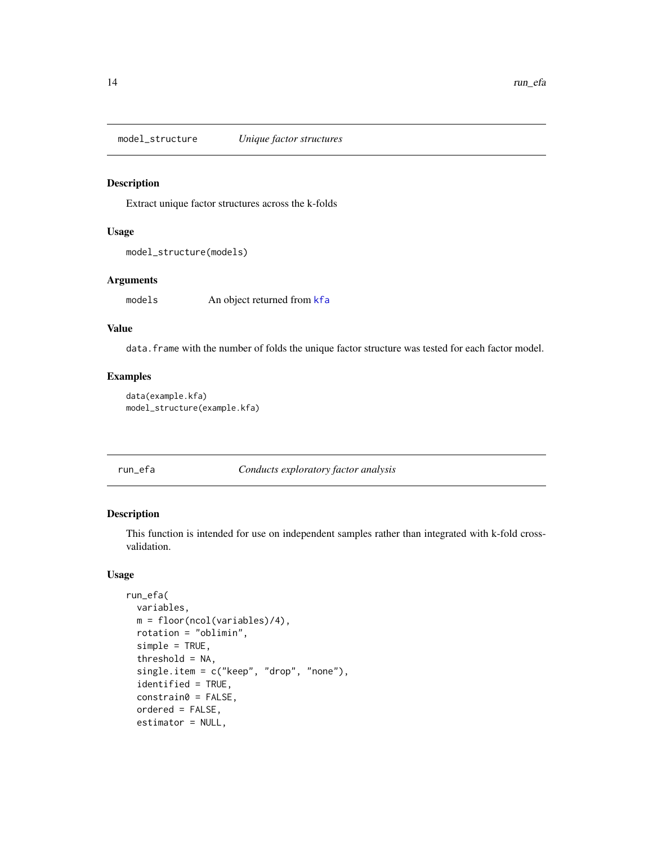<span id="page-13-0"></span>model\_structure *Unique factor structures*

#### Description

Extract unique factor structures across the k-folds

#### Usage

```
model_structure(models)
```
#### Arguments

models An object returned from [kfa](#page-8-1)

#### Value

data.frame with the number of folds the unique factor structure was tested for each factor model.

#### Examples

```
data(example.kfa)
model_structure(example.kfa)
```
#### run\_efa *Conducts exploratory factor analysis*

#### Description

This function is intended for use on independent samples rather than integrated with k-fold crossvalidation.

#### Usage

```
run_efa(
  variables,
 m = floor(ncol(variables)/4),
 rotation = "oblimin",
  simple = TRUE,
  threshold = NA,
  single.item = c("keep", "drop", "none"),
  identified = TRUE,
  constrain0 = FALSE,
  ordered = FALSE,
  estimator = NULL,
```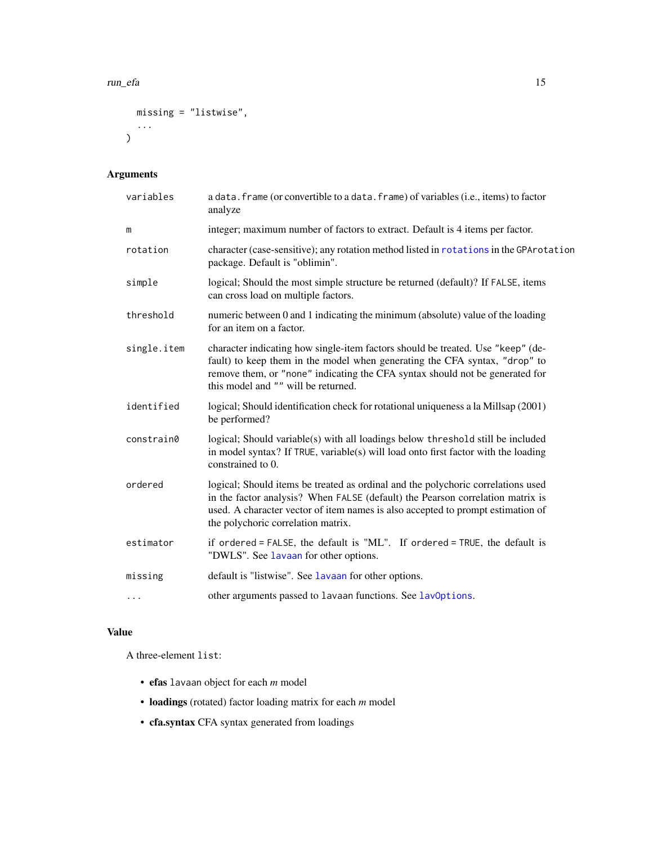```
missing = "listwise",
  ...
)
```
#### Arguments

| variables   | a data. frame (or convertible to a data. frame) of variables (i.e., items) to factor<br>analyze                                                                                                                                                                                             |
|-------------|---------------------------------------------------------------------------------------------------------------------------------------------------------------------------------------------------------------------------------------------------------------------------------------------|
| m           | integer; maximum number of factors to extract. Default is 4 items per factor.                                                                                                                                                                                                               |
| rotation    | character (case-sensitive); any rotation method listed in rotations in the GPArotation<br>package. Default is "oblimin".                                                                                                                                                                    |
| simple      | logical; Should the most simple structure be returned (default)? If FALSE, items<br>can cross load on multiple factors.                                                                                                                                                                     |
| threshold   | numeric between 0 and 1 indicating the minimum (absolute) value of the loading<br>for an item on a factor.                                                                                                                                                                                  |
| single.item | character indicating how single-item factors should be treated. Use "keep" (de-<br>fault) to keep them in the model when generating the CFA syntax, "drop" to<br>remove them, or "none" indicating the CFA syntax should not be generated for<br>this model and "" will be returned.        |
| identified  | logical; Should identification check for rotational uniqueness a la Millsap (2001)<br>be performed?                                                                                                                                                                                         |
| constrain0  | logical; Should variable(s) with all loadings below threshold still be included<br>in model syntax? If TRUE, variable(s) will load onto first factor with the loading<br>constrained to 0.                                                                                                  |
| ordered     | logical; Should items be treated as ordinal and the polychoric correlations used<br>in the factor analysis? When FALSE (default) the Pearson correlation matrix is<br>used. A character vector of item names is also accepted to prompt estimation of<br>the polychoric correlation matrix. |
| estimator   | if ordered = FALSE, the default is "ML". If ordered = TRUE, the default is<br>"DWLS". See lavaan for other options.                                                                                                                                                                         |
| missing     | default is "listwise". See lavaan for other options.                                                                                                                                                                                                                                        |
| $\cdots$    | other arguments passed to lavaan functions. See lavOptions.                                                                                                                                                                                                                                 |

#### Value

A three-element list:

- efas lavaan object for each *m* model
- loadings (rotated) factor loading matrix for each *m* model
- cfa.syntax CFA syntax generated from loadings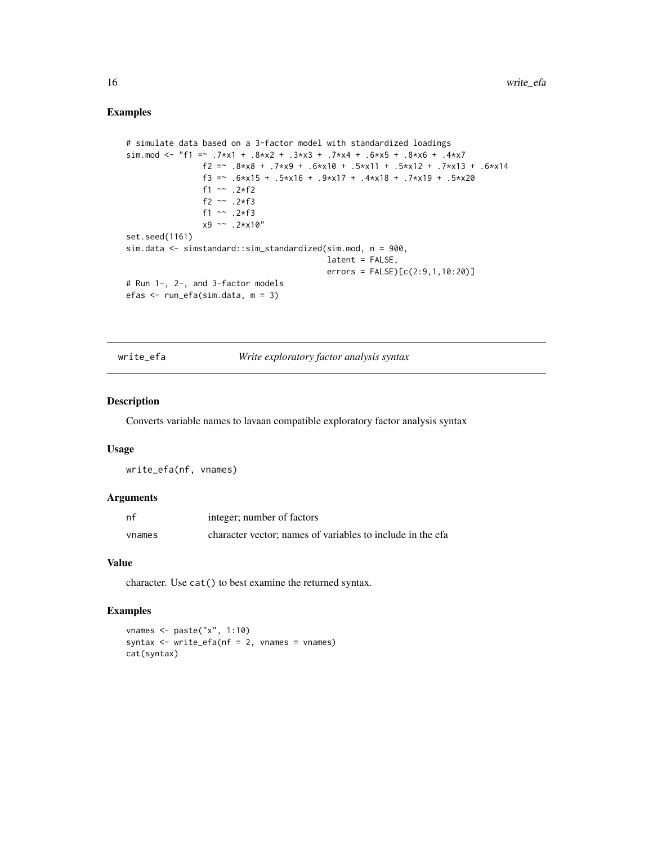#### Examples

```
# simulate data based on a 3-factor model with standardized loadings
sim.mod <- "f1 = 7 \times x1 + .8 x + .3 x 3 + .7 x + .6 x 5 + .8 x 6 + .4 x 7
                f2 = - .8*x8 + .7*x9 + .6*x10 + .5*x11 + .5*x12 + .7*x13 + .6*x14
                f3 =~ .6*x15 + .5*x16 + .9*x17 + .4*x18 + .7*x19 + .5*x20
                f1 ~~ .2*f2
                f2 ~~ .2*f3
                f1 ~~ .2*f3
                x9 ~~ .2*x10"
set.seed(1161)
sim.data <- simstandard::sim_standardized(sim.mod, n = 900,
                                          latent = FALSE,
                                          errors = FALSE) [c(2:9,1,10:20)]# Run 1-, 2-, and 3-factor models
efas <- run_efa(sim.data, m = 3)
```
#### write\_efa *Write exploratory factor analysis syntax*

#### Description

Converts variable names to lavaan compatible exploratory factor analysis syntax

#### Usage

write\_efa(nf, vnames)

#### Arguments

| nf     | integer; number of factors                                 |
|--------|------------------------------------------------------------|
| vnames | character vector; names of variables to include in the efa |

#### Value

character. Use cat() to best examine the returned syntax.

```
vnames <- paste("x", 1:10)
syntax \leq write_efa(nf = 2, vnames = vnames)
cat(syntax)
```
<span id="page-15-0"></span>